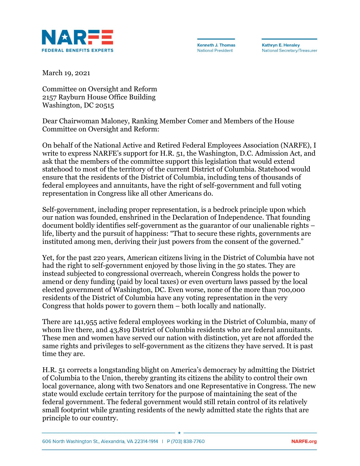

**Kenneth J. Thomas National President** 

**Kathryn E. Hensley National Secretary/Treasurer** 

March 19, 2021

Committee on Oversight and Reform 2157 Rayburn House Office Building Washington, DC 20515

Dear Chairwoman Maloney, Ranking Member Comer and Members of the House Committee on Oversight and Reform:

On behalf of the National Active and Retired Federal Employees Association (NARFE), I write to express NARFE's support for H.R. 51, the Washington, D.C. Admission Act, and ask that the members of the committee support this legislation that would extend statehood to most of the territory of the current District of Columbia. Statehood would ensure that the residents of the District of Columbia, including tens of thousands of federal employees and annuitants, have the right of self-government and full voting representation in Congress like all other Americans do.

Self-government, including proper representation, is a bedrock principle upon which our nation was founded, enshrined in the Declaration of Independence. That founding document boldly identifies self-government as the guarantor of our unalienable rights – life, liberty and the pursuit of happiness: "That to secure these rights, governments are instituted among men, deriving their just powers from the consent of the governed."

Yet, for the past 220 years, American citizens living in the District of Columbia have not had the right to self-government enjoyed by those living in the 50 states. They are instead subjected to congressional overreach, wherein Congress holds the power to amend or deny funding (paid by local taxes) or even overturn laws passed by the local elected government of Washington, DC. Even worse, none of the more than 700,000 residents of the District of Columbia have any voting representation in the very Congress that holds power to govern them – both locally and nationally.

There are 141,955 active federal employees working in the District of Columbia, many of whom live there, and 43,819 District of Columbia residents who are federal annuitants. These men and women have served our nation with distinction, yet are not afforded the same rights and privileges to self-government as the citizens they have served. It is past time they are.

H.R. 51 corrects a longstanding blight on America's democracy by admitting the District of Columbia to the Union, thereby granting its citizens the ability to control their own local governance, along with two Senators and one Representative in Congress. The new state would exclude certain territory for the purpose of maintaining the seat of the federal government. The federal government would still retain control of its relatively small footprint while granting residents of the newly admitted state the rights that are principle to our country.